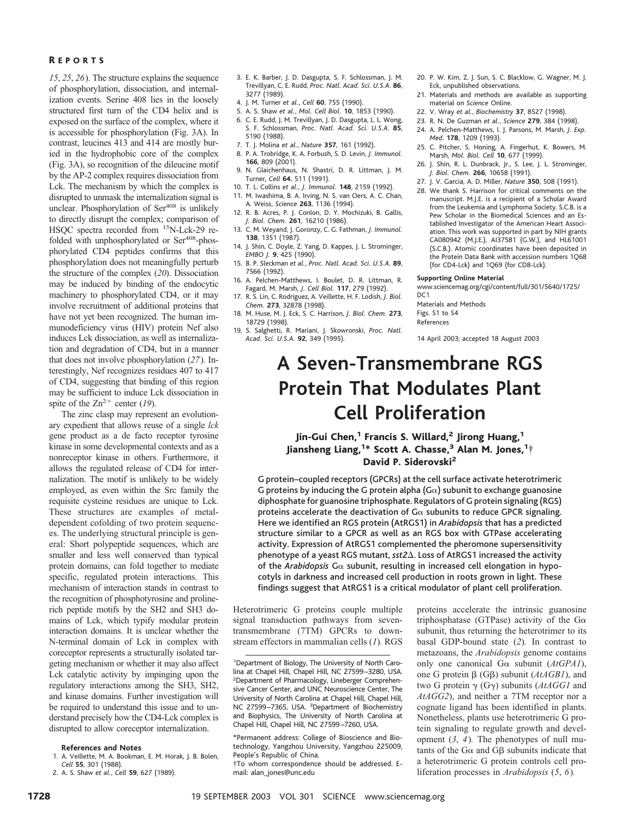### R EPORTS

*15*, *25*, *26*). The structure explains the sequence of phosphorylation, dissociation, and internalization events. Serine 408 lies in the loosely structured first turn of the CD4 helix and is exposed on the surface of the complex, where it is accessible for phosphorylation (Fig. 3A). In contrast, leucines 413 and 414 are mostly buried in the hydrophobic core of the complex (Fig. 3A), so recognition of the dileucine motif by the AP-2 complex requires dissociation from Lck. The mechanism by which the complex is disrupted to unmask the internalization signal is unclear. Phosphorylation of Ser<sup>408</sup> is unlikely to directly disrupt the complex; comparison of HSQC spectra recorded from 15N-Lck-29 refolded with unphosphorylated or Ser<sup>408</sup>-phosphorylated CD4 peptides confirms that this phosphorylation does not meaningfully perturb the structure of the complex (*20*). Dissociation may be induced by binding of the endocytic machinery to phosphorylated CD4, or it may involve recruitment of additional proteins that have not yet been recognized. The human immunodeficiency virus (HIV) protein Nef also induces Lck dissociation, as well as internalization and degradation of CD4, but in a manner that does not involve phosphorylation (*27*). Interestingly, Nef recognizes residues 407 to 417 of CD4, suggesting that binding of this region may be sufficient to induce Lck dissociation in spite of the  $Zn^{2+}$  center (19).

The zinc clasp may represent an evolutionary expedient that allows reuse of a single *lck* gene product as a de facto receptor tyrosine kinase in some developmental contexts and as a nonreceptor kinase in others. Furthermore, it allows the regulated release of CD4 for internalization. The motif is unlikely to be widely employed, as even within the Src family the requisite cysteine residues are unique to Lck. These structures are examples of metaldependent cofolding of two protein sequences. The underlying structural principle is general: Short polypeptide sequences, which are smaller and less well conserved than typical protein domains, can fold together to mediate specific, regulated protein interactions. This mechanism of interaction stands in contrast to the recognition of phosphotyrosine and prolinerich peptide motifs by the SH2 and SH3 domains of Lck, which typify modular protein interaction domains. It is unclear whether the N-terminal domain of Lck in complex with coreceptor represents a structurally isolated targeting mechanism or whether it may also affect Lck catalytic activity by impinging upon the regulatory interactions among the SH3, SH2, and kinase domains. Further investigation will be required to understand this issue and to understand precisely how the CD4-Lck complex is disrupted to allow coreceptor internalization.

### **References and Notes**

- 1. A. Veillette, M. A. Bookman, E. M. Horak, J. B. Bolen, *Cell* **55**, 301 (1988).
- 2. A. S. Shaw *et al.*, *Cell* **59**, 627(1989).
- 3. E. K. Barber, J. D. Dasgupta, S. F. Schlossman, J. M. Trevillyan, C. E. Rudd, *Proc. Natl. Acad. Sci. U.S.A.* **86**, 3277 (1989).
- 4. J. M. Turner *et al.*, *Cell* **60**, 755 (1990).
- 5. A. S. Shaw *et al.*, *Mol. Cell Biol.* **10**, 1853 (1990).
- 6. C. E. Rudd, J. M. Trevillyan, J. D. Dasgupta, L. L. Wong, S. F. Schlossman, *Proc. Natl. Acad. Sci. U.S.A.* **85**, 5190 (1988).
- 7. T. J. Molina *et al.*, *Nature* **357**, 161 (1992).
- 8. P. A. Trobridge, K. A. Forbush, S. D. Levin, *J. Immunol.* **166**, 809 (2001).
- 9. N. Glaichenhaus, N. Shastri, D. R. Littman, J. M. Turner, *Cell* **64**, 511 (1991).
- 10. T. L. Collins *et al.*, *J. Immunol.* **148**, 2159 (1992).
- 11. M. Iwashima, B. A. Irving, N. S. van Oers, A. C. Chan, A. Weiss, *Science* **263**, 1136 (1994).
- 12. R. B. Acres, P. J. Conlon, D. Y. Mochizuki, B. Gallis, *J. Biol. Chem.* **261**, 16210 (1986).
- 13. C. M. Weyand, J. Goronzy, C. G. Fathman, *J. Immunol.* **138**, 1351 (1987).
- 14. J. Shin, C. Doyle, Z. Yang, D. Kappes, J. L. Strominger, *EMBO J.* **9**, 425 (1990).
- 15. B. P. Sleckman *et al.*, *Proc. Natl. Acad. Sci. U.S.A.* **89**, 7566 (1992).
- 16. A. Pelchen-Matthews, I. Boulet, D. R. Littman, R. Fagard, M. Marsh, *J. Cell Biol.* **117**, 279 (1992).
- 17. R. S. Lin, C. Rodriguez, A. Veillette, H. F. Lodish, *J. Biol. Chem.* **273**, 32878 (1998).
- 18. M. Huse, M. J. Eck, S. C. Harrison, *J. Biol. Chem.* **273**, 18729 (1998).
- 19. S. Salghetti, R. Mariani, J. Skowronski, *Proc. Natl. Acad. Sci. U.S.A.* **92**, 349 (1995).
- 20. P. W. Kim, Z. J. Sun, S. C. Blacklow, G. Wagner, M. J. Eck, unpublished observations.
- 21. Materials and methods are available as supporting material on *Science* Online.
- 22. V. Wray *et al.*, *Biochemistry* **37**, 8527(1998).
- 23. R. N. De Guzman *et al.*, *Science* **279**, 384 (1998).
- 24. A. Pelchen-Matthews, I. J. Parsons, M. Marsh, *J. Exp. Med*. **178**, 1209 (1993).
- 25. C. Pitcher, S. Honing, A. Fingerhut, K. Bowers, M. Marsh, *Mol. Biol. Cell* **10**, 677 (1999).
- 26. J. Shin, R. L. Dunbrack, Jr., S. Lee, J. L. Strominger, *J. Biol. Chem.* **266**, 10658 (1991).
- 27. J. V. Garcia, A. D. Miller, *Nature* **350**, 508 (1991).
- 28. We thank S. Harrison for critical comments on the manuscript. M.J.E. is a recipient of a Scholar Award from the Leukemia and Lymphoma Society. S.C.B. is a Pew Scholar in the Biomedical Sciences and an Established Investigator of the American Heart Association. This work was supported in part by NIH grants CA080942 (M.J.E.), AI37581 (G.W.), and HL61001 (S.C.B.). Atomic coordinates have been deposited in the Protein Data Bank with accession numbers 1Q68 (for CD4-Lck) and 1Q69 (for CD8-Lck).

#### **Supporting Online Material**

www.sciencemag.org/cgi/content/full/301/5640/1725/  $DC1$ 

Materials and Methods Figs. S1 to S4 References

14 April 2003; accepted 18 August 2003

# **A Seven-Transmembrane RGS Protein That Modulates Plant Cell Proliferation**

## Jin-Gui Chen,<sup>1</sup> Francis S. Willard,<sup>2</sup> Jirong Huang,<sup>1</sup> Jiansheng Liang, <sup>1\*</sup> Scott A. Chasse, <sup>3</sup> Alan M. Jones, <sup>1</sup>† David P. Siderovski<sup>2</sup>

G protein–coupled receptors (GPCRs) at the cell surface activate heterotrimeric G proteins by inducing the G protein alpha (G $\alpha$ ) subunit to exchange guanosine diphosphate for guanosine triphosphate. Regulators of G protein signaling (RGS) proteins accelerate the deactivation of G $\alpha$  subunits to reduce GPCR signaling. Here we identified an RGS protein (AtRGS1) in *Arabidopsis* that has a predicted structure similar to a GPCR as well as an RGS box with GTPase accelerating activity. Expression of AtRGS1 complemented the pheromone supersensitivity phenotype of a yeast RGS mutant, sst2 $\Delta$ . Loss of AtRGS1 increased the activity of the *Arabidopsis* G $\alpha$  subunit, resulting in increased cell elongation in hypocotyls in darkness and increased cell production in roots grown in light. These findings suggest that AtRGS1 is a critical modulator of plant cell proliferation.

Heterotrimeric G proteins couple multiple signal transduction pathways from seventransmembrane (7TM) GPCRs to downstream effectors in mammalian cells (*1*)*.* RGS

\*Permanent address: College of Bioscience and Biotechnology, Yangzhou University, Yangzhou 225009, People's Republic of China.

†To whom correspondence should be addressed. Email: alan\_jones@unc.edu

proteins accelerate the intrinsic guanosine triphosphatase (GTPase) activity of the  $G\alpha$ subunit, thus returning the heterotrimer to its basal GDP-bound state (*2*)*.* In contrast to metazoans, the *Arabidopsis* genome contains only one canonical G $\alpha$  subunit ( $AtGPA1$ ), one G protein  $\beta$  (G $\beta$ ) subunit (*AtAGB1*), and two G protein  $\gamma$  (G $\gamma$ ) subunits (*AtAGG1* and *AtAGG2*), and neither a 7TM receptor nor a cognate ligand has been identified in plants. Nonetheless, plants use heterotrimeric G protein signaling to regulate growth and development (*3*, *4*)*.* The phenotypes of null mutants of the G $\alpha$  and G $\beta$  subunits indicate that a heterotrimeric G protein controls cell proliferation processes in *Arabidopsis* (*5*, *6*)*.*

<sup>&</sup>lt;sup>1</sup>Department of Biology, The University of North Carolina at Chapel Hill, Chapel Hill, NC 27599 –3280, USA. <sup>2</sup>Department of Pharmacology, Lineberger Comprehensive Cancer Center, and UNC Neuroscience Center, The University of North Carolina at Chapel Hill, Chapel Hill, NC 27599-7365, USA. <sup>3</sup>Department of Biochemistry and Biophysics, The University of North Carolina at Chapel Hill, Chapel Hill, NC 27599 –7260, USA.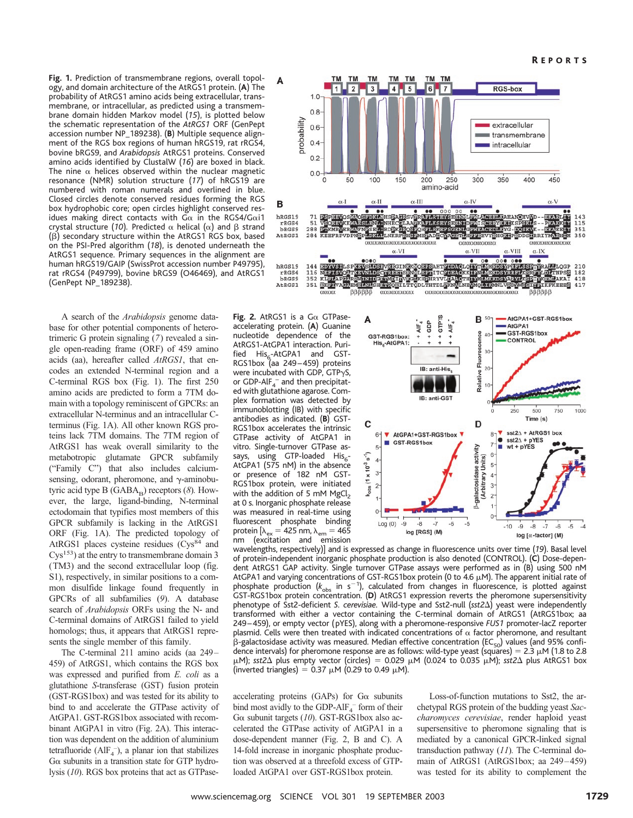**Fig.1.** Prediction of transmembrane regions, overall topology, and domain architecture of the AtRGS1 protein. (**A**) The probability of AtRGS1 amino acids being extracellular, transmembrane, or intracellular, as predicted using a transmembrane domain hidden Markov model (*15*), is plotted below the schematic representation of the *AtRGS1* ORF (GenPept accession number NP\_189238). (**B**) Multiple sequence alignment of the RGS box regions of human hRGS19, rat rRGS4, bovine bRGS9, and *Arabidopsis* AtRGS1 proteins. Conserved amino acids identified by ClustalW (*16*) are boxed in black. The nine  $\alpha$  helices observed within the nuclear magnetic resonance (NMR) solution structure (*17*) of hRGS19 are numbered with roman numerals and overlined in blue. Closed circles denote conserved residues forming the RGS box hydrophobic core; open circles highlight conserved residues making direct contacts with G $\alpha$  in the RGS4/G $\alpha$ i1 crystal structure (10). Predicted  $\alpha$  helical ( $\alpha$ ) and  $\beta$  strand  $(\beta)$  secondary structure within the AtRGS1 RGS box, based on the PSI-Pred algorithm (*18*), is denoted underneath the AtRGS1 sequence. Primary sequences in the alignment are human hRGS19/GAIP (SwissProt accession number P49795), rat rRGS4 (P49799), bovine bRGS9 (O46469), and AtRGS1 (GenPept NP\_189238).

A search of the *Arabidopsis* genome database for other potential components of heterotrimeric G protein signaling (*7*) revealed a single open-reading frame (ORF) of 459 amino acids (aa), hereafter called *AtRGS1*, that encodes an extended N-terminal region and a C-terminal RGS box (Fig. 1). The first 250 amino acids are predicted to form a 7TM domain with a topology reminiscent of GPCRs: an extracellular N-terminus and an intracellular Cterminus (Fig. 1A). All other known RGS proteins lack 7TM domains. The 7TM region of AtRGS1 has weak overall similarity to the metabotropic glutamate GPCR subfamily ("Family C") that also includes calciumsensing, odorant, pheromone, and  $\gamma$ -aminobutyric acid type  $B(GABA_n)$  receptors  $(8)$ . However, the large, ligand-binding, N-terminal ectodomain that typifies most members of this GPCR subfamily is lacking in the AtRGS1 ORF (Fig. 1A). The predicted topology of AtRGS1 places cysteine residues (Cys<sup>84</sup> and Cys153) at the entry to transmembrane domain 3 (TM3) and the second extracellular loop (fig. S1), respectively, in similar positions to a common disulfide linkage found frequently in GPCRs of all subfamilies (*9*). A database search of *Arabidopsis* ORFs using the N- and C-terminal domains of AtRGS1 failed to yield homologs; thus, it appears that AtRGS1 represents the single member of this family.

The C-terminal 211 amino acids (aa 249– 459) of AtRGS1, which contains the RGS box was expressed and purified from *E. coli* as a glutathione *S*-transferase (GST) fusion protein (GST-RGS1box) and was tested for its ability to bind to and accelerate the GTPase activity of AtGPA1. GST-RGS1box associated with recombinant AtGPA1 in vitro (Fig. 2A). This interaction was dependent on the addition of aluminium tetrafluoride ( $\text{AlF}_4^-$ ), a planar ion that stabilizes  $G\alpha$  subunits in a transition state for GTP hydrolysis (*10*). RGS box proteins that act as GTPase-

Fig. 2. AtRGS1 is a  $G\alpha$  GTPaseaccelerating protein. (**A**) Guanine nucleotide dependence of the AtRGS1-AtGPA1 interaction. Purified His<sub>6</sub>-AtGPA1 and GST-<br>RGS1box (aa 249–459) proteins were incubated with GDP, GTP $\gamma$ S, or GDP-AlF $_4^-$  and then precipitated with glutathione agarose. Complex formation was detected by immunoblotting (IB) with specific antibodies as indicated. (**B**) GST-RGS1box accelerates the intrinsic GTPase activity of AtGPA1 in vitro. Single-turnover GTPase assays, using GTP-loaded His<sub>6</sub>-AtGPA1 (575 nM) in the absence or presence of 182 nM GST-RGS1box protein, were initiated with the addition of 5 mM  $MgCl<sub>2</sub>$ at 0 s. Inorganic phosphate release was measured in real-time using fluorescent phosphate binding protein  $[\lambda_{ex} = 425 \text{ nm}, \lambda_{em} = 465 \text{ nm}]$ <br>nm (excitation and emission (excitation and emission



- AtGPA1+GST-RGS1box  $-6TPIS$ **B** 50 A  $+$  GDP AIF,  $+ + AIF$ AtGPA1 GST-RGS1box Fluorescence GST-RGS1box: **CONTROL** His<sub>s</sub>-AtGPA1 IB: anti-His. Relative **IB: anti-GST** 250 500 750 1000  $Time(s)$ D C  $sst2\Delta + AtRGS1$  box AtGPA1+GST-RGS1box  $8 6^{\circ}$ v  $sst2\Delta + pYES$ GST-RGS1box ٠ 5  $wt + pYES$ activity رَ" **Arbitrary Units)**  $\overline{4}$  $\overline{5}$  $(1 \times 10^{-3}$ galactosidase  $\overline{3}$  $\overline{4}$  $\overline{c}$  $\overline{3}$  $\theta$  $-8$  $-6$  $Log(0)$ -9  $-10$  $-9$  $-8$  $-7$  $-6$  $-5$ log [RGS] (M)  $log$  [ $\alpha$ -factor] (M)

wavelengths, respectively)] and is expressed as change in fluorescence units over time (*19*). Basal level of protein-independent inorganic phosphate production is also denoted (CONTROL). (**C**) Dose-dependent AtRGS1 GAP activity. Single turnover GTPase assays were performed as in (B) using 500 nM AtGPA1 and varying concentrations of GST-RGS1box protein (0 to 4.6  $\mu$ M). The apparent initial rate of phosphate production ( $k_{\text{obs}}$  in s<sup>-1</sup>), calculated from changes in fluorescence, is plotted against GST-RGS1box protein concentration. (**D**) AtRGS1 expression reverts the pheromone supersensitivity phenotype of Sst2-deficient *S. cerevisiae.* Wild-type and Sst2-null (*sst2*) yeast were independently transformed with either a vector containing the C-terminal domain of AtRGS1 (AtRGS1box; aa 249 –459), or empty vector (pYES), along with a pheromone-responsive *FUS1* promoter-lacZ reporter plasmid. Cells were then treated with indicated concentrations of  $\alpha$  factor pheromone, and resultant  $\beta$ -galactosidase activity was measured. Median effective concentration (EC<sub>50</sub>) values (and 95% confidence intervals) for pheromone response are as follows: wild-type yeast (squares) =  $2.3 \mu$ M (1.8 to 2.8  $\mu$ M); *sst2* $\Delta$  plus empty vector (circles) = 0.029  $\mu$ M (0.024 to 0.035  $\mu$ M); *sst2* $\Delta$  plus AtRGS1 box (inverted triangles) = 0.37  $\mu$ M (0.29 to 0.49  $\mu$ M).

accelerating proteins (GAPs) for  $G\alpha$  subunits bind most avidly to the GDP-Al $F_4^-$  form of their Gα subunit targets (10). GST-RGS1box also accelerated the GTPase activity of AtGPA1 in a dose-dependent manner (Fig. 2, B and C). A 14-fold increase in inorganic phosphate production was observed at a threefold excess of GTPloaded AtGPA1 over GST-RGS1box protein.

Loss-of-function mutations to Sst2, the archetypal RGS protein of the budding yeast *Saccharomyces cerevisiae*, render haploid yeast supersensitive to pheromone signaling that is mediated by a canonical GPCR-linked signal transduction pathway (*11*)*.* The C-terminal domain of AtRGS1 (AtRGS1box; aa 249–459) was tested for its ability to complement the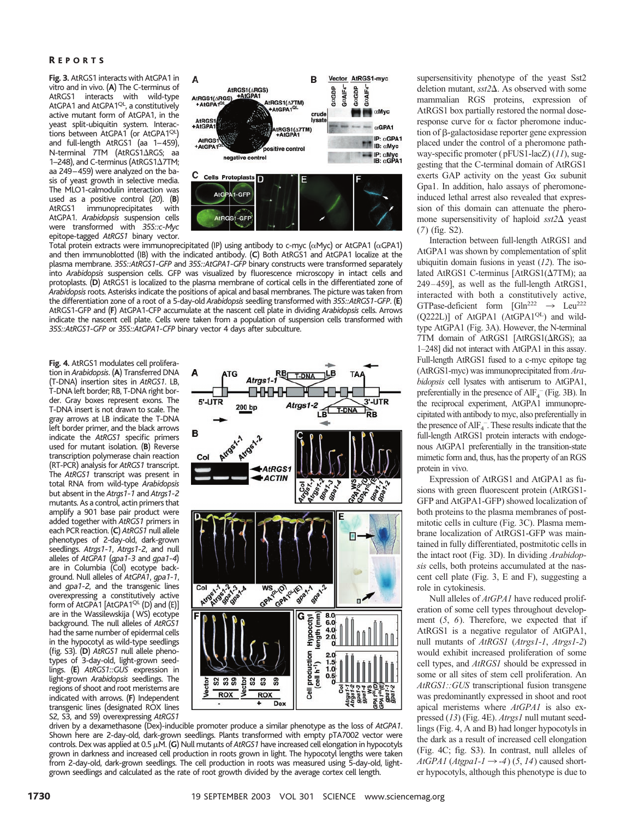### R EPORTS

**Fig.3.** AtRGS1 interacts with AtGPA1 in vitro and in vivo. (**A**) The C-terminus of AtRGS1 interacts with wild-type<br>AtGPA1 and AtGPA1<sup>QL</sup>, a constitutively active mutant form of AtGPA1, in the yeast split-ubiquitin system. Interactions between AtGPA1 (or AtGPA1<sup>QL</sup>) and full-length AtRGS1 (aa 1–459), N-terminal 7TM (AtRGS1 $\triangle$ RGS; aa 1–248), and C-terminus (AtRGS1 $\Delta$ 7TM; aa 249–459) were analyzed on the basis of yeast growth in selective media. The MLO1-calmodulin interaction was used as a positive control (*20*)*.* (**B**) immunoprecipitates with AtGPA1. *Arabidopsis* suspension cells were transformed with *35S::c-Myc* epitope-tagged *AtRGS1* binary vector.



Total protein extracts were immunoprecipitated (IP) using antibody to c-myc ( $\alpha$ Myc) or AtGPA1 ( $\alpha$ GPA1) and then immunoblotted (IB) with the indicated antibody. (**C**) Both AtRGS1 and AtGPA1 localize at the plasma membrane. *35S::AtRGS1-GFP* and *35S::AtGPA1-GFP* binary constructs were transformed separately into *Arabidopsis* suspension cells. GFP was visualized by fluorescence microscopy in intact cells and protoplasts. (**D**) AtRGS1 is localized to the plasma membrane of cortical cells in the differentiated zone of *Arabidopsis*roots. Asterisks indicate the positions of apical and basal membranes. The picture was taken from the differentiation zone of a root of a 5-day-old *Arabidopsis* seedling transformed with *35S::AtRGS1-GFP*. (**E**) AtRGS1-GFP and (**F**) AtGPA1-CFP accumulate at the nascent cell plate in dividing *Arabidopsis* cells. Arrows indicate the nascent cell plate. Cells were taken from a population of suspension cells transformed with *35S::AtRGS1-GFP* or *35S::AtGPA1-CFP* binary vector 4 days after subculture.

**Fig.4.** AtRGS1 modulates cell proliferation in *Arabidopsis*. (**A**) Transferred DNA (T-DNA) insertion sites in *AtRGS1*. LB, T-DNA left border; RB, T-DNA right border. Gray boxes represent exons. The T-DNA insert is not drawn to scale. The gray arrows at LB indicate the T-DNA left border primer, and the black arrows indicate the *AtRGS1* specific primers used for mutant isolation. (**B**) Reverse transcription polymerase chain reaction (RT-PCR) analysis for *AtRGS1* transcript. The *AtRGS1* transcript was present in total RNA from wild-type *Arabidopsis* but absent in the *Atrgs1-1* and *Atrgs1-2* mutants. As a control, actin primers that amplify a 901 base pair product were added together with *AtRGS1* primers in each PCR reaction. (**C**) *AtRGS1* null allele phenotypes of 2-day-old, dark-grown seedlings. *Atrgs1-1*, *Atrgs1-2*, and null alleles of *AtGPA1* (*gpa1-3* and *gpa1-4*) are in Columbia (Col) ecotype background. Null alleles of *AtGPA1*, *gpa1-1*, and *gpa1-2*, and the transgenic lines overexpressing a constitutively active form of AtGPA1 [AtGPA1<sup>QL</sup> (D) and (E)] are in the Wassilewskija (WS) ecotype background. The null alleles of *AtRGS1* had the same number of epidermal cells in the hypocotyl as wild-type seedlings (fig. S3). (**D**) *AtRGS1* null allele phenotypes of 3-day-old, light-grown seedlings. (**E**) *AtRGS1::GUS* expression in light-grown *Arabidopsis* seedlings. The regions of shoot and root meristems are indicated with arrows. (**F**) Independent transgenic lines (designated ROX lines S2, S3, and S9) overexpressing *AtRGS1*



driven by a dexamethasone (Dex)-inducible promoter produce a similar phenotype as the loss of *AtGPA1*. Shown here are 2-day-old, dark-grown seedlings. Plants transformed with empty pTA7002 vector were controls. Dex was applied at 0.5 μ.Μ. (G) Null mutants of *AtRGS1* have increased cell elongation in hypocotyls grown in darkness and increased cell production in roots grown in light. The hypocotyl lengths were taken from 2-day-old, dark-grown seedlings. The cell production in roots was measured using 5-day-old, lightgrown seedlings and calculated as the rate of root growth divided by the average cortex cell length.

supersensitivity phenotype of the yeast Sst2 deletion mutant,  $sst2\Delta$ . As observed with some mammalian RGS proteins, expression of AtRGS1 box partially restored the normal doseresponse curve for  $\alpha$  factor pheromone induc- $\theta$ -galactosidase reporter gene expression placed under the control of a pheromone pathway-specific promoter (pFUS1-lacZ) (*11*), suggesting that the C-terminal domain of AtRGS1 exerts GAP activity on the yeast  $G\alpha$  subunit Gpa1. In addition, halo assays of pheromoneinduced lethal arrest also revealed that expression of this domain can attenuate the pheromone supersensitivity of haploid  $sst2\Delta$  yeast (*7*) (fig. S2).

Interaction between full-length AtRGS1 and AtGPA1 was shown by complementation of split ubiquitin domain fusions in yeast (*12*). The isolated AtRGS1 C-terminus [AtRGS1( $\Delta$ 7TM); aa 249–459], as well as the full-length AtRGS1, interacted with both a constitutively active, GTPase-deficient form  $[Gln^{222} \rightarrow Leu^{222}$ (Q222L)] of AtGPA1 (AtGPA1<sup>QL</sup>) and wildtype AtGPA1 (Fig. 3A). However, the N-terminal 7TM domain of AtRGS1 [AtRGS1( $\triangle R$ GS); aa 1–248] did not interact with AtGPA1 in this assay. Full-length AtRGS1 fused to a c-myc epitope tag (AtRGS1-myc) was immunoprecipitated from *Arabidopsis* cell lysates with antiserum to AtGPA1, preferentially in the presence of  $\text{AlF}_4^-$  (Fig. 3B). In the reciprocal experiment, AtGPA1 immunoprecipitated with antibody to myc, also preferentially in the presence of AlF $_4^-$ . These results indicate that the full-length AtRGS1 protein interacts with endogenous AtGPA1 preferentially in the transition-state mimetic form and, thus, has the property of an RGS protein in vivo.

Expression of AtRGS1 and AtGPA1 as fusions with green fluorescent protein (AtRGS1- GFP and AtGPA1-GFP) showed localization of both proteins to the plasma membranes of postmitotic cells in culture (Fig. 3C). Plasma membrane localization of AtRGS1-GFP was maintained in fully differentiated, postmitotic cells in the intact root (Fig. 3D). In dividing *Arabidopsis* cells, both proteins accumulated at the nascent cell plate (Fig. 3, E and F), suggesting a role in cytokinesis.

Null alleles of *AtGPA1* have reduced proliferation of some cell types throughout development (*5*, *6*). Therefore, we expected that if AtRGS1 is a negative regulator of AtGPA1, null mutants of *AtRGS1* (*Atrgs1-1*, *Atrgs1-2*) would exhibit increased proliferation of some cell types, and *AtRGS1* should be expressed in some or all sites of stem cell proliferation. An *AtRGS1::GUS* transcriptional fusion transgene was predominantly expressed in shoot and root apical meristems where *AtGPA1* is also expressed (*13*) (Fig. 4E). *Atrgs1* null mutant seedlings (Fig. 4, A and B) had longer hypocotyls in the dark as a result of increased cell elongation (Fig. 4C; fig. S3). In contrast, null alleles of  $AtGPA1 (Atgpal-1 \rightarrow -4) (5, 14)$  caused shorter hypocotyls, although this phenotype is due to